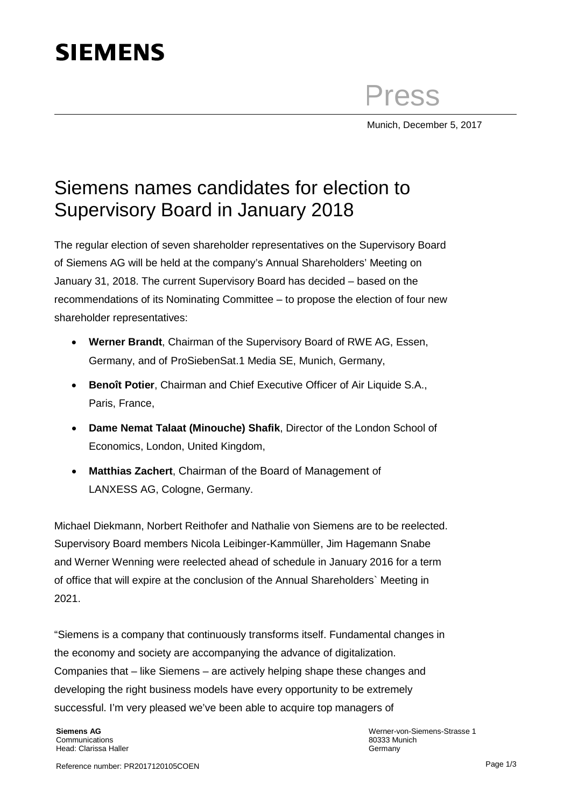## **SIEMENS**

Press

Munich, December 5, 2017

## Siemens names candidates for election to Supervisory Board in January 2018

The regular election of seven shareholder representatives on the Supervisory Board of Siemens AG will be held at the company's Annual Shareholders' Meeting on January 31, 2018. The current Supervisory Board has decided – based on the recommendations of its Nominating Committee – to propose the election of four new shareholder representatives:

- **Werner Brandt**, Chairman of the Supervisory Board of RWE AG, Essen, Germany, and of ProSiebenSat.1 Media SE, Munich, Germany,
- **Benoît Potier**, Chairman and Chief Executive Officer of Air Liquide S.A., Paris, France,
- **Dame Nemat Talaat (Minouche) Shafik**, Director of the London School of Economics, London, United Kingdom,
- **Matthias Zachert**, Chairman of the Board of Management of LANXESS AG, Cologne, Germany.

Michael Diekmann, Norbert Reithofer and Nathalie von Siemens are to be reelected. Supervisory Board members Nicola Leibinger-Kammüller, Jim Hagemann Snabe and Werner Wenning were reelected ahead of schedule in January 2016 for a term of office that will expire at the conclusion of the Annual Shareholders` Meeting in 2021.

"Siemens is a company that continuously transforms itself. Fundamental changes in the economy and society are accompanying the advance of digitalization. Companies that – like Siemens – are actively helping shape these changes and developing the right business models have every opportunity to be extremely successful. I'm very pleased we've been able to acquire top managers of

**Siemens AG Communications** Head: Clarissa Haller Werner-von-Siemens-Strasse 1 80333 Munich Germany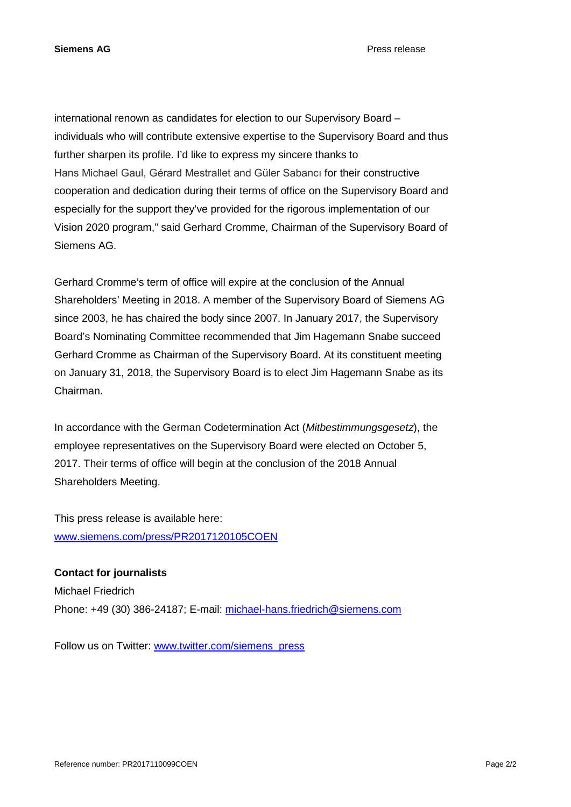**Siemens AG** Press release

international renown as candidates for election to our Supervisory Board – individuals who will contribute extensive expertise to the Supervisory Board and thus further sharpen its profile. I'd like to express my sincere thanks to Hans Michael Gaul, Gérard Mestrallet and Güler Sabancı for their constructive cooperation and dedication during their terms of office on the Supervisory Board and especially for the support they've provided for the rigorous implementation of our Vision 2020 program," said Gerhard Cromme, Chairman of the Supervisory Board of Siemens AG.

Gerhard Cromme's term of office will expire at the conclusion of the Annual Shareholders' Meeting in 2018. A member of the Supervisory Board of Siemens AG since 2003, he has chaired the body since 2007. In January 2017, the Supervisory Board's Nominating Committee recommended that Jim Hagemann Snabe succeed Gerhard Cromme as Chairman of the Supervisory Board. At its constituent meeting on January 31, 2018, the Supervisory Board is to elect Jim Hagemann Snabe as its Chairman.

In accordance with the German Codetermination Act (*Mitbestimmungsgesetz*), the employee representatives on the Supervisory Board were elected on October 5, 2017. Their terms of office will begin at the conclusion of the 2018 Annual Shareholders Meeting.

This press release is available here: [www.siemens.com/press/PR2017120105COEN](http://www.siemens.com/press/PR2017120105COEN)

**Contact for journalists** Michael Friedrich Phone: +49 (30) 386-24187; E-mail: [michael-hans.friedrich@siemens.com](mailto:michael-hans.friedrich@siemens.com)

Follow us on Twitter: [www.twitter.com/siemens\\_press](http://www.twitter.com/siemens_press)